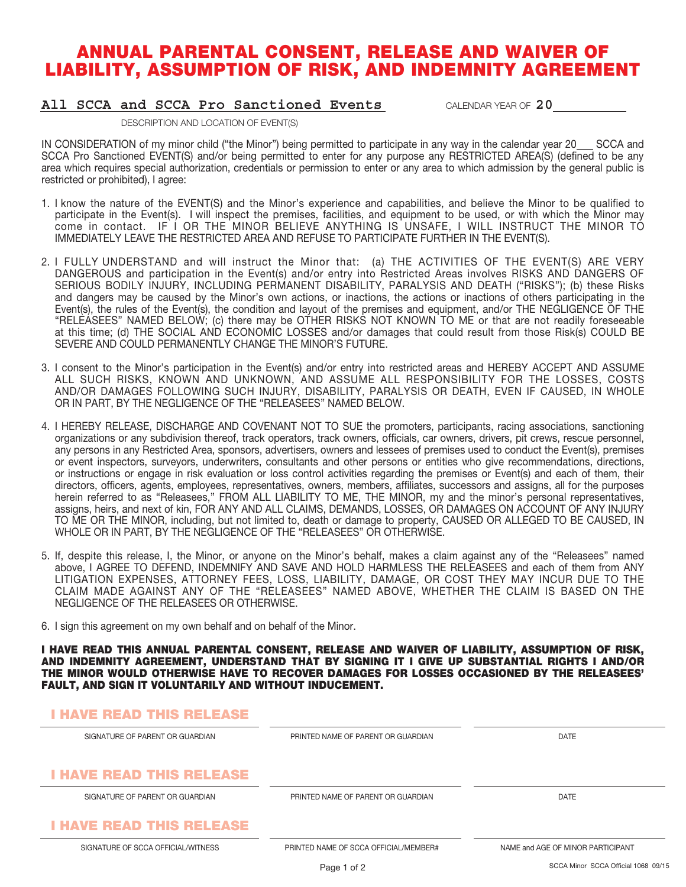# ANNUAL PARENTAL CONSENT, RELEASE AND WAIVER OF LIABILITY, ASSUMPTION OF RISK, AND INDEMNITY AGREEMENT

### **All SCCA and SCCA Pro Sanctioned Events** CALENDAR YEAR OF **20**

DESCRIPTION AND LOCATION OF EVENT(S)

IN CONSIDERATION of my minor child ("the Minor") being permitted to participate in any way in the calendar year 20 SCCA and SCCA Pro Sanctioned EVENT(S) and/or being permitted to enter for any purpose any RESTRICTED AREA(S) (defined to be any area which requires special authorization, credentials or permission to enter or any area to which admission by the general public is restricted or prohibited), I agree:

- 1. I know the nature of the EVENT(S) and the Minor's experience and capabilities, and believe the Minor to be qualified to participate in the Event(s). I will inspect the premises, facilities, and equipment to be used, or with which the Minor may come in contact. IF I OR THE MINOR BELIEVE ANYTHING IS UNSAFE, I WILL INSTRUCT THE MINOR TO IMMEDIATELY LEAVE THE RESTRICTED AREA AND REFUSE TO PARTICIPATE FURTHER IN THE EVENT(S).
- 2. I FULLY UNDERSTAND and will instruct the Minor that: (a) THE ACTIVITIES OF THE EVENT(S) ARE VERY DANGEROUS and participation in the Event(s) and/or entry into Restricted Areas involves RISKS AND DANGERS OF SERIOUS BODILY INJURY, INCLUDING PERMANENT DISABILITY, PARALYSIS AND DEATH ("RISKS"); (b) these Risks and dangers may be caused by the Minor's own actions, or inactions, the actions or inactions of others participating in the Event(s), the rules of the Event(s), the condition and layout of the premises and equipment, and/or THE NEGLIGENCE OF THE "RELEASEES" NAMED BELOW; (c) there may be OTHER RISKS NOT KNOWN TO ME or that are not readily foreseeable at this time; (d) THE SOCIAL AND ECONOMIC LOSSES and/or damages that could result from those Risk(s) COULD BE SEVERE AND COULD PERMANENTLY CHANGE THE MINOR'S FUTURE.
- 3. I consent to the Minor's participation in the Event(s) and/or entry into restricted areas and HEREBY ACCEPT AND ASSUME ALL SUCH RISKS, KNOWN AND UNKNOWN, AND ASSUME ALL RESPONSIBILITY FOR THE LOSSES, COSTS AND/OR DAMAGES FOLLOWING SUCH INJURY, DISABILITY, PARALYSIS OR DEATH, EVEN IF CAUSED, IN WHOLE OR IN PART, BY THE NEGLIGENCE OF THE "RELEASEES" NAMED BELOW.
- 4. I HEREBY RELEASE, DISCHARGE AND COVENANT NOT TO SUE the promoters, participants, racing associations, sanctioning organizations or any subdivision thereof, track operators, track owners, officials, car owners, drivers, pit crews, rescue personnel, any persons in any Restricted Area, sponsors, advertisers, owners and lessees of premises used to conduct the Event(s), premises or event inspectors, surveyors, underwriters, consultants and other persons or entities who give recommendations, directions, or instructions or engage in risk evaluation or loss control activities regarding the premises or Event(s) and each of them, their directors, officers, agents, employees, representatives, owners, members, affiliates, successors and assigns, all for the purposes herein referred to as "Releasees," FROM ALL LIABILITY TO ME, THE MINOR, my and the minor's personal representatives, assigns, heirs, and next of kin, FOR ANY AND ALL CLAIMS, DEMANDS, LOSSES, OR DAMAGES ON ACCOUNT OF ANY INJURY TO ME OR THE MINOR, including, but not limited to, death or damage to property, CAUSED OR ALLEGED TO BE CAUSED, IN WHOLE OR IN PART, BY THE NEGLIGENCE OF THE "RELEASEES" OR OTHERWISE.
- 5. If, despite this release, I, the Minor, or anyone on the Minor's behalf, makes a claim against any of the "Releasees" named above, I AGREE TO DEFEND, INDEMNIFY AND SAVE AND HOLD HARMLESS THE RELEASEES and each of them from ANY LITIGATION EXPENSES, ATTORNEY FEES, LOSS, LIABILITY, DAMAGE, OR COST THEY MAY INCUR DUE TO THE CLAIM MADE AGAINST ANY OF THE "RELEASEES" NAMED ABOVE, WHETHER THE CLAIM IS BASED ON THE NEGLIGENCE OF THE RELEASEES OR OTHERWISE.
- 6. I sign this agreement on my own behalf and on behalf of the Minor.

I HAVE READ THIS ANNUAL PARENTAL CONSENT, RELEASE AND WAIVER OF LIABILITY, ASSUMPTION OF RISK, AND INDEMNITY AGREEMENT, UNDERSTAND THAT BY SIGNING IT I GIVE UP SUBSTANTIAL RIGHTS I AND/OR THE MINOR WOULD OTHERWISE HAVE TO RECOVER DAMAGES FOR LOSSES OCCASIONED BY THE RELEASEES' FAULT, AND SIGN IT VOLUNTARILY AND WITHOUT INDUCEMENT.

## I HAVE READ THIS RELEASE

| SIGNATURE OF PARENT OR GUARDIAN    | PRINTED NAME OF PARENT OR GUARDIAN    | DATE                              |
|------------------------------------|---------------------------------------|-----------------------------------|
|                                    |                                       |                                   |
| <b>I HAVE READ THIS RELEASE</b>    |                                       |                                   |
| SIGNATURE OF PARENT OR GUARDIAN    | PRINTED NAME OF PARENT OR GUARDIAN    | DATE                              |
| <b>I HAVE READ THIS RELEASE</b>    |                                       |                                   |
| SIGNATURE OF SCCA OFFICIAL/WITNESS | PRINTED NAME OF SCCA OFFICIAL/MEMBER# | NAME and AGE OF MINOR PARTICIPANT |